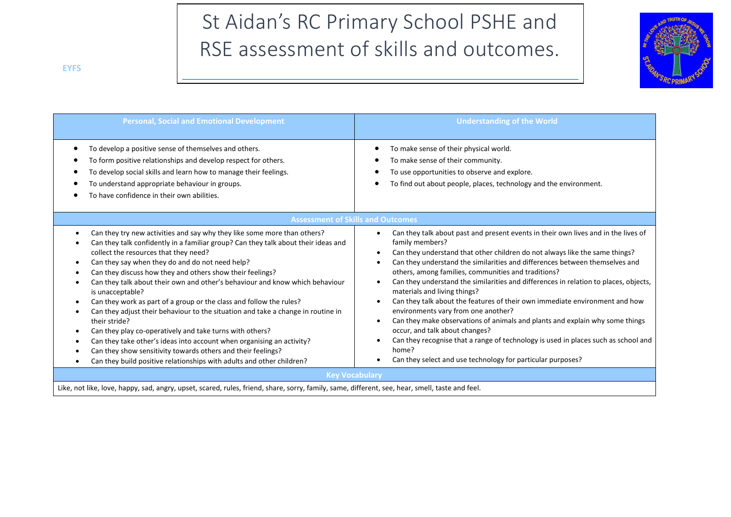# St Aidan's RC Primary School PSHE and RSE assessment of skills and outcomes.



| <b>Personal, Social and Emotional Development</b>                                                                                                                                                                                                                                                                                                                                                                                                                                                                                                                                                                                                                                                                                                                                                                                                                                     | <b>Understanding of the World</b>                                                                                                                                                                                                                                                                                                                                                                                                                                                                                                                                                                                                                                                                                                                                                                                                                        |
|---------------------------------------------------------------------------------------------------------------------------------------------------------------------------------------------------------------------------------------------------------------------------------------------------------------------------------------------------------------------------------------------------------------------------------------------------------------------------------------------------------------------------------------------------------------------------------------------------------------------------------------------------------------------------------------------------------------------------------------------------------------------------------------------------------------------------------------------------------------------------------------|----------------------------------------------------------------------------------------------------------------------------------------------------------------------------------------------------------------------------------------------------------------------------------------------------------------------------------------------------------------------------------------------------------------------------------------------------------------------------------------------------------------------------------------------------------------------------------------------------------------------------------------------------------------------------------------------------------------------------------------------------------------------------------------------------------------------------------------------------------|
| To develop a positive sense of themselves and others.<br>To form positive relationships and develop respect for others.<br>To develop social skills and learn how to manage their feelings.<br>To understand appropriate behaviour in groups.<br>To have confidence in their own abilities.                                                                                                                                                                                                                                                                                                                                                                                                                                                                                                                                                                                           | To make sense of their physical world.<br>To make sense of their community.<br>To use opportunities to observe and explore.<br>To find out about people, places, technology and the environment.                                                                                                                                                                                                                                                                                                                                                                                                                                                                                                                                                                                                                                                         |
|                                                                                                                                                                                                                                                                                                                                                                                                                                                                                                                                                                                                                                                                                                                                                                                                                                                                                       | <b>Assessment of Skills and Outcomes</b>                                                                                                                                                                                                                                                                                                                                                                                                                                                                                                                                                                                                                                                                                                                                                                                                                 |
| Can they try new activities and say why they like some more than others?<br>Can they talk confidently in a familiar group? Can they talk about their ideas and<br>collect the resources that they need?<br>Can they say when they do and do not need help?<br>Can they discuss how they and others show their feelings?<br>Can they talk about their own and other's behaviour and know which behaviour<br>is unacceptable?<br>Can they work as part of a group or the class and follow the rules?<br>Can they adjust their behaviour to the situation and take a change in routine in<br>their stride?<br>Can they play co-operatively and take turns with others?<br>Can they take other's ideas into account when organising an activity?<br>Can they show sensitivity towards others and their feelings?<br>Can they build positive relationships with adults and other children? | Can they talk about past and present events in their own lives and in the lives of<br>family members?<br>Can they understand that other children do not always like the same things?<br>Can they understand the similarities and differences between themselves and<br>others, among families, communities and traditions?<br>Can they understand the similarities and differences in relation to places, objects,<br>materials and living things?<br>Can they talk about the features of their own immediate environment and how<br>environments vary from one another?<br>Can they make observations of animals and plants and explain why some things<br>occur, and talk about changes?<br>Can they recognise that a range of technology is used in places such as school and<br>home?<br>Can they select and use technology for particular purposes? |
|                                                                                                                                                                                                                                                                                                                                                                                                                                                                                                                                                                                                                                                                                                                                                                                                                                                                                       | <b>Key Vocabulary</b>                                                                                                                                                                                                                                                                                                                                                                                                                                                                                                                                                                                                                                                                                                                                                                                                                                    |

Like, not like, love, happy, sad, angry, upset, scared, rules, friend, share, sorry, family, same, different, see, hear, smell, taste and feel.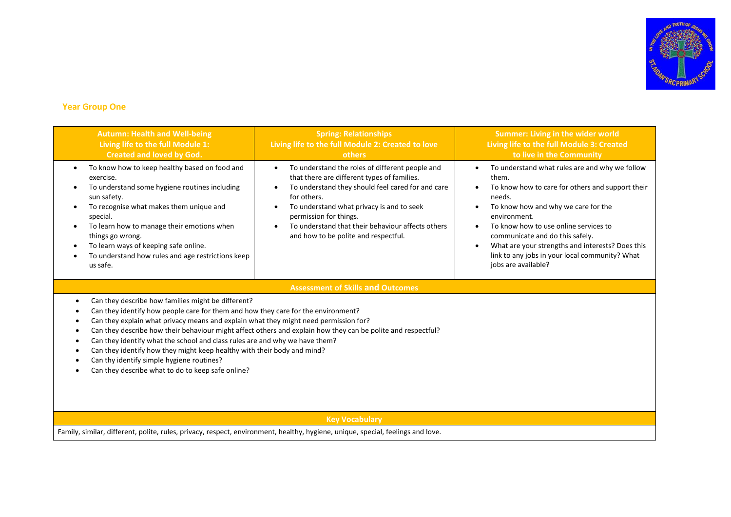

# **Year Group One**

| <b>Autumn: Health and Well-being</b><br>Living life to the full Module 1:<br><b>Created and loved by God.</b>                                                                                                                                                                                                                                                                                                                                                                                                                                                                                               | <b>Spring: Relationships</b><br>Living life to the full Module 2: Created to love<br>others                                                                                                                                                                                                                                                         | <b>Summer: Living in the wider world</b><br>Living life to the full Module 3: Created<br>to live in the Community                                                                                                                                                                                                                                                                                                            |
|-------------------------------------------------------------------------------------------------------------------------------------------------------------------------------------------------------------------------------------------------------------------------------------------------------------------------------------------------------------------------------------------------------------------------------------------------------------------------------------------------------------------------------------------------------------------------------------------------------------|-----------------------------------------------------------------------------------------------------------------------------------------------------------------------------------------------------------------------------------------------------------------------------------------------------------------------------------------------------|------------------------------------------------------------------------------------------------------------------------------------------------------------------------------------------------------------------------------------------------------------------------------------------------------------------------------------------------------------------------------------------------------------------------------|
| To know how to keep healthy based on food and<br>$\bullet$<br>exercise.<br>To understand some hygiene routines including<br>sun safety.<br>To recognise what makes them unique and<br>$\bullet$<br>special.<br>To learn how to manage their emotions when<br>things go wrong.<br>To learn ways of keeping safe online.<br>$\bullet$<br>To understand how rules and age restrictions keep<br>٠<br>us safe.                                                                                                                                                                                                   | To understand the roles of different people and<br>$\bullet$<br>that there are different types of families.<br>To understand they should feel cared for and care<br>for others.<br>To understand what privacy is and to seek<br>permission for things.<br>To understand that their behaviour affects others<br>and how to be polite and respectful. | To understand what rules are and why we follow<br>$\bullet$<br>them.<br>To know how to care for others and support their<br>needs.<br>To know how and why we care for the<br>$\bullet$<br>environment.<br>To know how to use online services to<br>communicate and do this safely.<br>What are your strengths and interests? Does this<br>$\bullet$<br>link to any jobs in your local community? What<br>jobs are available? |
|                                                                                                                                                                                                                                                                                                                                                                                                                                                                                                                                                                                                             | <b>Assessment of Skills and Outcomes</b>                                                                                                                                                                                                                                                                                                            |                                                                                                                                                                                                                                                                                                                                                                                                                              |
| Can they describe how families might be different?<br>Can they identify how people care for them and how they care for the environment?<br>Can they explain what privacy means and explain what they might need permission for?<br>Can they describe how their behaviour might affect others and explain how they can be polite and respectful?<br>Can they identify what the school and class rules are and why we have them?<br>Can they identify how they might keep healthy with their body and mind?<br>Can thy identify simple hygiene routines?<br>Can they describe what to do to keep safe online? |                                                                                                                                                                                                                                                                                                                                                     |                                                                                                                                                                                                                                                                                                                                                                                                                              |
| <b>Key Vocabulary</b>                                                                                                                                                                                                                                                                                                                                                                                                                                                                                                                                                                                       |                                                                                                                                                                                                                                                                                                                                                     |                                                                                                                                                                                                                                                                                                                                                                                                                              |
| Family, similar, different, polite, rules, privacy, respect, environment, healthy, hygiene, unique, special, feelings and love.                                                                                                                                                                                                                                                                                                                                                                                                                                                                             |                                                                                                                                                                                                                                                                                                                                                     |                                                                                                                                                                                                                                                                                                                                                                                                                              |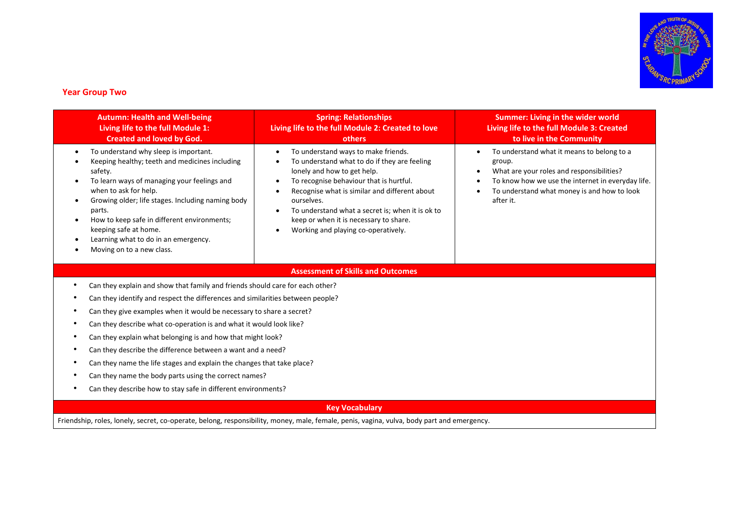

## **Year Group Two**

| <b>Autumn: Health and Well-being</b><br>Living life to the full Module 1:<br><b>Created and loved by God.</b>                                                                                                                                                                                                                                                                                       | <b>Spring: Relationships</b><br>Living life to the full Module 2: Created to love<br>others                                                                                                                                                                                                                                                                                                                                                     | <b>Summer: Living in the wider world</b><br>Living life to the full Module 3: Created<br>to live in the Community                                                                                                                                         |  |
|-----------------------------------------------------------------------------------------------------------------------------------------------------------------------------------------------------------------------------------------------------------------------------------------------------------------------------------------------------------------------------------------------------|-------------------------------------------------------------------------------------------------------------------------------------------------------------------------------------------------------------------------------------------------------------------------------------------------------------------------------------------------------------------------------------------------------------------------------------------------|-----------------------------------------------------------------------------------------------------------------------------------------------------------------------------------------------------------------------------------------------------------|--|
| To understand why sleep is important.<br>$\bullet$<br>Keeping healthy; teeth and medicines including<br>safety.<br>To learn ways of managing your feelings and<br>when to ask for help.<br>Growing older; life stages. Including naming body<br>parts.<br>How to keep safe in different environments;<br>keeping safe at home.<br>Learning what to do in an emergency.<br>Moving on to a new class. | To understand ways to make friends.<br>$\bullet$<br>To understand what to do if they are feeling<br>$\bullet$<br>lonely and how to get help.<br>To recognise behaviour that is hurtful.<br>$\bullet$<br>Recognise what is similar and different about<br>$\bullet$<br>ourselves.<br>To understand what a secret is; when it is ok to<br>$\bullet$<br>keep or when it is necessary to share.<br>Working and playing co-operatively.<br>$\bullet$ | To understand what it means to belong to a<br>$\bullet$<br>group.<br>What are your roles and responsibilities?<br>$\bullet$<br>To know how we use the internet in everyday life.<br>$\bullet$<br>To understand what money is and how to look<br>after it. |  |
|                                                                                                                                                                                                                                                                                                                                                                                                     | <b>Assessment of Skills and Outcomes</b>                                                                                                                                                                                                                                                                                                                                                                                                        |                                                                                                                                                                                                                                                           |  |
|                                                                                                                                                                                                                                                                                                                                                                                                     | Can they explain and show that family and friends should care for each other?                                                                                                                                                                                                                                                                                                                                                                   |                                                                                                                                                                                                                                                           |  |
| Can they identify and respect the differences and similarities between people?                                                                                                                                                                                                                                                                                                                      |                                                                                                                                                                                                                                                                                                                                                                                                                                                 |                                                                                                                                                                                                                                                           |  |
| Can they give examples when it would be necessary to share a secret?                                                                                                                                                                                                                                                                                                                                |                                                                                                                                                                                                                                                                                                                                                                                                                                                 |                                                                                                                                                                                                                                                           |  |
| Can they describe what co-operation is and what it would look like?                                                                                                                                                                                                                                                                                                                                 |                                                                                                                                                                                                                                                                                                                                                                                                                                                 |                                                                                                                                                                                                                                                           |  |
| Can they explain what belonging is and how that might look?                                                                                                                                                                                                                                                                                                                                         |                                                                                                                                                                                                                                                                                                                                                                                                                                                 |                                                                                                                                                                                                                                                           |  |
| Can they describe the difference between a want and a need?                                                                                                                                                                                                                                                                                                                                         |                                                                                                                                                                                                                                                                                                                                                                                                                                                 |                                                                                                                                                                                                                                                           |  |
| Can they name the life stages and explain the changes that take place?                                                                                                                                                                                                                                                                                                                              |                                                                                                                                                                                                                                                                                                                                                                                                                                                 |                                                                                                                                                                                                                                                           |  |
| Can they name the body parts using the correct names?                                                                                                                                                                                                                                                                                                                                               |                                                                                                                                                                                                                                                                                                                                                                                                                                                 |                                                                                                                                                                                                                                                           |  |
| Can they describe how to stay safe in different environments?                                                                                                                                                                                                                                                                                                                                       |                                                                                                                                                                                                                                                                                                                                                                                                                                                 |                                                                                                                                                                                                                                                           |  |
| <b>Key Vocabulary</b>                                                                                                                                                                                                                                                                                                                                                                               |                                                                                                                                                                                                                                                                                                                                                                                                                                                 |                                                                                                                                                                                                                                                           |  |

Friendship, roles, lonely, secret, co-operate, belong, responsibility, money, male, female, penis, vagina, vulva, body part and emergency.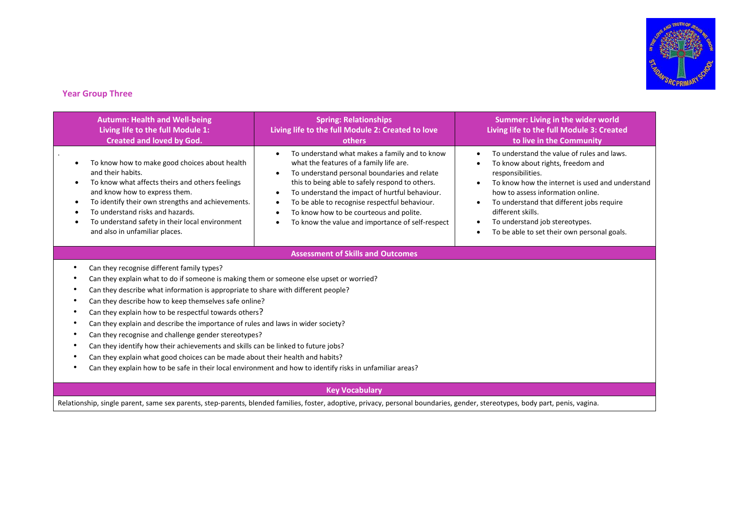

## **Year Group Three**

| <b>Autumn: Health and Well-being</b><br>Living life to the full Module 1:<br><b>Created and loved by God.</b>                                                                                                                                                                                                                                                                                                                                                                                                                                                                                                                                                                                                                                                                                                                       | <b>Spring: Relationships</b><br>Living life to the full Module 2: Created to love<br>others                                                                                                                                                                                                                                                                                                                             | <b>Summer: Living in the wider world</b><br>Living life to the full Module 3: Created<br>to live in the Community                                                                                                                                                                                                                                                                                                     |
|-------------------------------------------------------------------------------------------------------------------------------------------------------------------------------------------------------------------------------------------------------------------------------------------------------------------------------------------------------------------------------------------------------------------------------------------------------------------------------------------------------------------------------------------------------------------------------------------------------------------------------------------------------------------------------------------------------------------------------------------------------------------------------------------------------------------------------------|-------------------------------------------------------------------------------------------------------------------------------------------------------------------------------------------------------------------------------------------------------------------------------------------------------------------------------------------------------------------------------------------------------------------------|-----------------------------------------------------------------------------------------------------------------------------------------------------------------------------------------------------------------------------------------------------------------------------------------------------------------------------------------------------------------------------------------------------------------------|
| To know how to make good choices about health<br>and their habits.<br>To know what affects theirs and others feelings<br>and know how to express them.<br>To identify their own strengths and achievements.<br>To understand risks and hazards.<br>To understand safety in their local environment<br>and also in unfamiliar places.                                                                                                                                                                                                                                                                                                                                                                                                                                                                                                | To understand what makes a family and to know<br>what the features of a family life are.<br>To understand personal boundaries and relate<br>this to being able to safely respond to others.<br>To understand the impact of hurtful behaviour.<br>$\bullet$<br>To be able to recognise respectful behaviour.<br>$\bullet$<br>To know how to be courteous and polite.<br>To know the value and importance of self-respect | To understand the value of rules and laws.<br>$\bullet$<br>To know about rights, freedom and<br>$\bullet$<br>responsibilities.<br>To know how the internet is used and understand<br>$\bullet$<br>how to assess information online.<br>To understand that different jobs require<br>$\bullet$<br>different skills.<br>To understand job stereotypes.<br>٠<br>To be able to set their own personal goals.<br>$\bullet$ |
|                                                                                                                                                                                                                                                                                                                                                                                                                                                                                                                                                                                                                                                                                                                                                                                                                                     | <b>Assessment of Skills and Outcomes</b>                                                                                                                                                                                                                                                                                                                                                                                |                                                                                                                                                                                                                                                                                                                                                                                                                       |
| Can they recognise different family types?<br>٠<br>Can they explain what to do if someone is making them or someone else upset or worried?<br>Can they describe what information is appropriate to share with different people?<br>٠<br>Can they describe how to keep themselves safe online?<br>٠<br>Can they explain how to be respectful towards others?<br>٠<br>Can they explain and describe the importance of rules and laws in wider society?<br>$\bullet$<br>Can they recognise and challenge gender stereotypes?<br>٠<br>Can they identify how their achievements and skills can be linked to future jobs?<br>$\bullet$<br>Can they explain what good choices can be made about their health and habits?<br>٠<br>Can they explain how to be safe in their local environment and how to identify risks in unfamiliar areas? |                                                                                                                                                                                                                                                                                                                                                                                                                         |                                                                                                                                                                                                                                                                                                                                                                                                                       |
|                                                                                                                                                                                                                                                                                                                                                                                                                                                                                                                                                                                                                                                                                                                                                                                                                                     |                                                                                                                                                                                                                                                                                                                                                                                                                         |                                                                                                                                                                                                                                                                                                                                                                                                                       |

#### **Key Vocabulary**

Relationship, single parent, same sex parents, step-parents, blended families, foster, adoptive, privacy, personal boundaries, gender, stereotypes, body part, penis, vagina.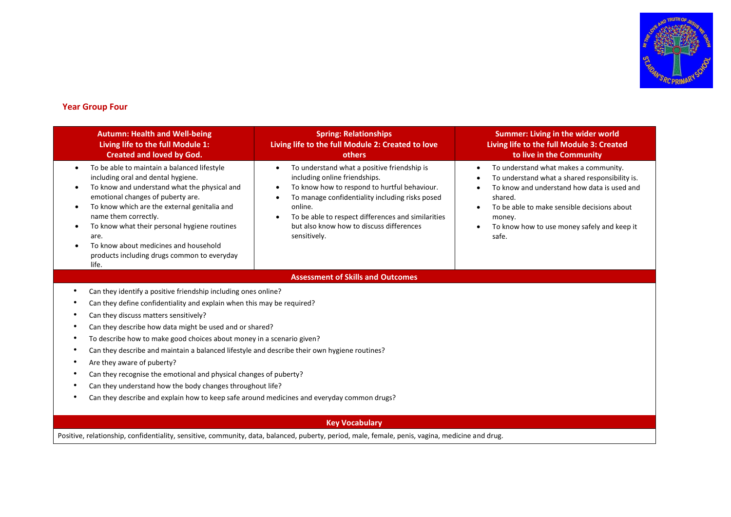

## **Year Group Four**

| <b>Autumn: Health and Well-being</b><br>Living life to the full Module 1:<br><b>Created and loved by God.</b>                                                                                                                                                                                                                                                                                                                                                                                                                                                                                                                                                                       | <b>Spring: Relationships</b><br>Living life to the full Module 2: Created to love<br>others                                                                                                                                                                                                                  | Summer: Living in the wider world<br>Living life to the full Module 3: Created<br>to live in the Community                                                                                                                                                                      |
|-------------------------------------------------------------------------------------------------------------------------------------------------------------------------------------------------------------------------------------------------------------------------------------------------------------------------------------------------------------------------------------------------------------------------------------------------------------------------------------------------------------------------------------------------------------------------------------------------------------------------------------------------------------------------------------|--------------------------------------------------------------------------------------------------------------------------------------------------------------------------------------------------------------------------------------------------------------------------------------------------------------|---------------------------------------------------------------------------------------------------------------------------------------------------------------------------------------------------------------------------------------------------------------------------------|
| To be able to maintain a balanced lifestyle<br>including oral and dental hygiene.<br>To know and understand what the physical and<br>emotional changes of puberty are.<br>To know which are the external genitalia and<br>name them correctly.<br>To know what their personal hygiene routines<br>are.<br>To know about medicines and household<br>products including drugs common to everyday<br>life.                                                                                                                                                                                                                                                                             | To understand what a positive friendship is<br>including online friendships.<br>To know how to respond to hurtful behaviour.<br>To manage confidentiality including risks posed<br>online.<br>To be able to respect differences and similarities<br>but also know how to discuss differences<br>sensitively. | To understand what makes a community.<br>$\bullet$<br>To understand what a shared responsibility is.<br>To know and understand how data is used and<br>shared.<br>To be able to make sensible decisions about<br>money.<br>To know how to use money safely and keep it<br>safe. |
|                                                                                                                                                                                                                                                                                                                                                                                                                                                                                                                                                                                                                                                                                     | <b>Assessment of Skills and Outcomes</b>                                                                                                                                                                                                                                                                     |                                                                                                                                                                                                                                                                                 |
| Can they identify a positive friendship including ones online?<br>Can they define confidentiality and explain when this may be required?<br>Can they discuss matters sensitively?<br>Can they describe how data might be used and or shared?<br>To describe how to make good choices about money in a scenario given?<br>Can they describe and maintain a balanced lifestyle and describe their own hygiene routines?<br>Are they aware of puberty?<br>Can they recognise the emotional and physical changes of puberty?<br>Can they understand how the body changes throughout life?<br>Can they describe and explain how to keep safe around medicines and everyday common drugs? |                                                                                                                                                                                                                                                                                                              |                                                                                                                                                                                                                                                                                 |
| <b>Key Vocabulary</b>                                                                                                                                                                                                                                                                                                                                                                                                                                                                                                                                                                                                                                                               |                                                                                                                                                                                                                                                                                                              |                                                                                                                                                                                                                                                                                 |

Positive, relationship, confidentiality, sensitive, community, data, balanced, puberty, period, male, female, penis, vagina, medicine and drug.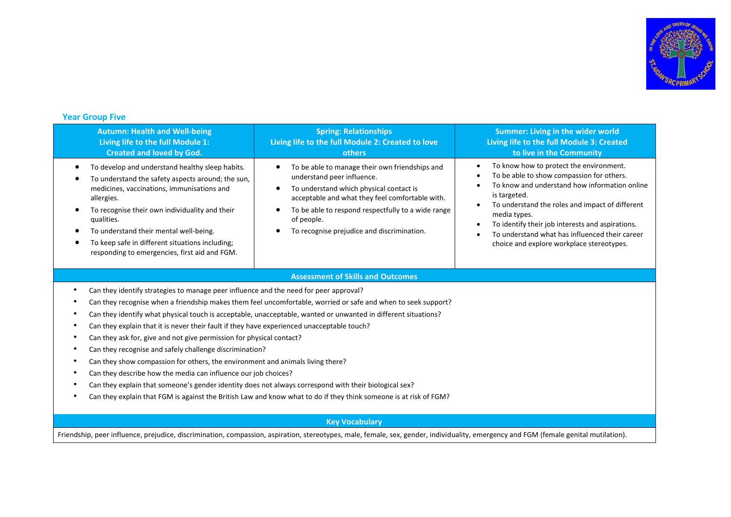

# **Year Group Five**

| <b>Autumn: Health and Well-being</b><br>Living life to the full Module 1:<br><b>Created and loved by God.</b>                                                                                                                                                                                                                                                                  | <b>Spring: Relationships</b><br>Living life to the full Module 2: Created to love<br>others                                                                                                                                                                                                                            | <b>Summer: Living in the wider world</b><br>Living life to the full Module 3: Created<br>to live in the Community                                                                                                                                                                                                                                                                                                       |  |
|--------------------------------------------------------------------------------------------------------------------------------------------------------------------------------------------------------------------------------------------------------------------------------------------------------------------------------------------------------------------------------|------------------------------------------------------------------------------------------------------------------------------------------------------------------------------------------------------------------------------------------------------------------------------------------------------------------------|-------------------------------------------------------------------------------------------------------------------------------------------------------------------------------------------------------------------------------------------------------------------------------------------------------------------------------------------------------------------------------------------------------------------------|--|
| To develop and understand healthy sleep habits.<br>To understand the safety aspects around; the sun,<br>medicines, vaccinations, immunisations and<br>allergies.<br>To recognise their own individuality and their<br>qualities.<br>To understand their mental well-being.<br>To keep safe in different situations including;<br>responding to emergencies, first aid and FGM. | To be able to manage their own friendships and<br>$\bullet$<br>understand peer influence.<br>To understand which physical contact is<br>$\bullet$<br>acceptable and what they feel comfortable with.<br>To be able to respond respectfully to a wide range<br>of people.<br>To recognise prejudice and discrimination. | To know how to protect the environment.<br>٠<br>To be able to show compassion for others.<br>$\bullet$<br>To know and understand how information online<br>is targeted.<br>To understand the roles and impact of different<br>$\bullet$<br>media types.<br>To identify their job interests and aspirations.<br>$\bullet$<br>To understand what has influenced their career<br>choice and explore workplace stereotypes. |  |
|                                                                                                                                                                                                                                                                                                                                                                                | <b>Assessment of Skills and Outcomes</b>                                                                                                                                                                                                                                                                               |                                                                                                                                                                                                                                                                                                                                                                                                                         |  |
| Can they identify strategies to manage peer influence and the need for peer approval?                                                                                                                                                                                                                                                                                          |                                                                                                                                                                                                                                                                                                                        |                                                                                                                                                                                                                                                                                                                                                                                                                         |  |
| Can they recognise when a friendship makes them feel uncomfortable, worried or safe and when to seek support?                                                                                                                                                                                                                                                                  |                                                                                                                                                                                                                                                                                                                        |                                                                                                                                                                                                                                                                                                                                                                                                                         |  |
|                                                                                                                                                                                                                                                                                                                                                                                | Can they identify what physical touch is acceptable, unacceptable, wanted or unwanted in different situations?                                                                                                                                                                                                         |                                                                                                                                                                                                                                                                                                                                                                                                                         |  |
| Can they explain that it is never their fault if they have experienced unacceptable touch?                                                                                                                                                                                                                                                                                     |                                                                                                                                                                                                                                                                                                                        |                                                                                                                                                                                                                                                                                                                                                                                                                         |  |
| Can they ask for, give and not give permission for physical contact?                                                                                                                                                                                                                                                                                                           |                                                                                                                                                                                                                                                                                                                        |                                                                                                                                                                                                                                                                                                                                                                                                                         |  |
|                                                                                                                                                                                                                                                                                                                                                                                | Can they recognise and safely challenge discrimination?                                                                                                                                                                                                                                                                |                                                                                                                                                                                                                                                                                                                                                                                                                         |  |
| Can they show compassion for others, the environment and animals living there?                                                                                                                                                                                                                                                                                                 |                                                                                                                                                                                                                                                                                                                        |                                                                                                                                                                                                                                                                                                                                                                                                                         |  |
| Can they describe how the media can influence our job choices?                                                                                                                                                                                                                                                                                                                 |                                                                                                                                                                                                                                                                                                                        |                                                                                                                                                                                                                                                                                                                                                                                                                         |  |
| Can they explain that someone's gender identity does not always correspond with their biological sex?                                                                                                                                                                                                                                                                          |                                                                                                                                                                                                                                                                                                                        |                                                                                                                                                                                                                                                                                                                                                                                                                         |  |
| Can they explain that FGM is against the British Law and know what to do if they think someone is at risk of FGM?                                                                                                                                                                                                                                                              |                                                                                                                                                                                                                                                                                                                        |                                                                                                                                                                                                                                                                                                                                                                                                                         |  |
| <b>Key Vocabulary</b>                                                                                                                                                                                                                                                                                                                                                          |                                                                                                                                                                                                                                                                                                                        |                                                                                                                                                                                                                                                                                                                                                                                                                         |  |
|                                                                                                                                                                                                                                                                                                                                                                                | Friendship, peer influence, prejudice, discrimination, compassion, aspiration, stereotypes, male, female, sex, gender, individuality, emergency and FGM (female genital mutilation).                                                                                                                                   |                                                                                                                                                                                                                                                                                                                                                                                                                         |  |